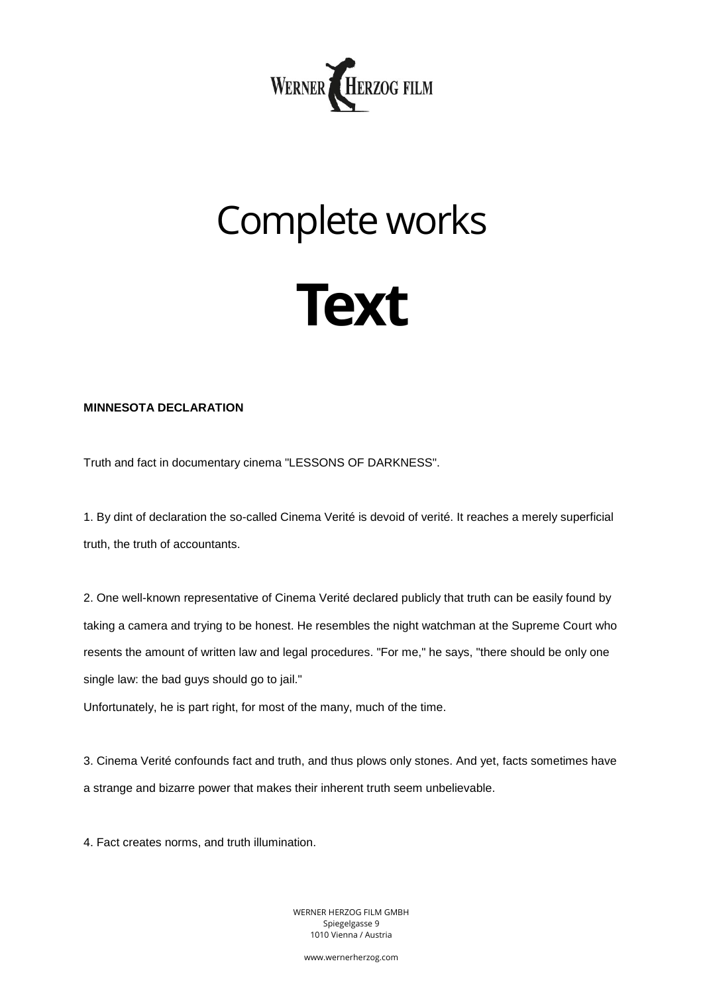

## Complete works



## **MINNESOTA DECLARATION**

Truth and fact in documentary cinema "LESSONS OF DARKNESS".

1. By dint of declaration the so-called Cinema Verité is devoid of verité. It reaches a merely superficial truth, the truth of accountants.

2. One well-known representative of Cinema Verité declared publicly that truth can be easily found by taking a camera and trying to be honest. He resembles the night watchman at the Supreme Court who resents the amount of written law and legal procedures. "For me," he says, "there should be only one single law: the bad guys should go to jail."

Unfortunately, he is part right, for most of the many, much of the time.

3. Cinema Verité confounds fact and truth, and thus plows only stones. And yet, facts sometimes have a strange and bizarre power that makes their inherent truth seem unbelievable.

4. Fact creates norms, and truth illumination.

WERNER HERZOG FILM GMBH Spiegelgasse 9 1010 Vienna / Austria

www.wernerherzog.com